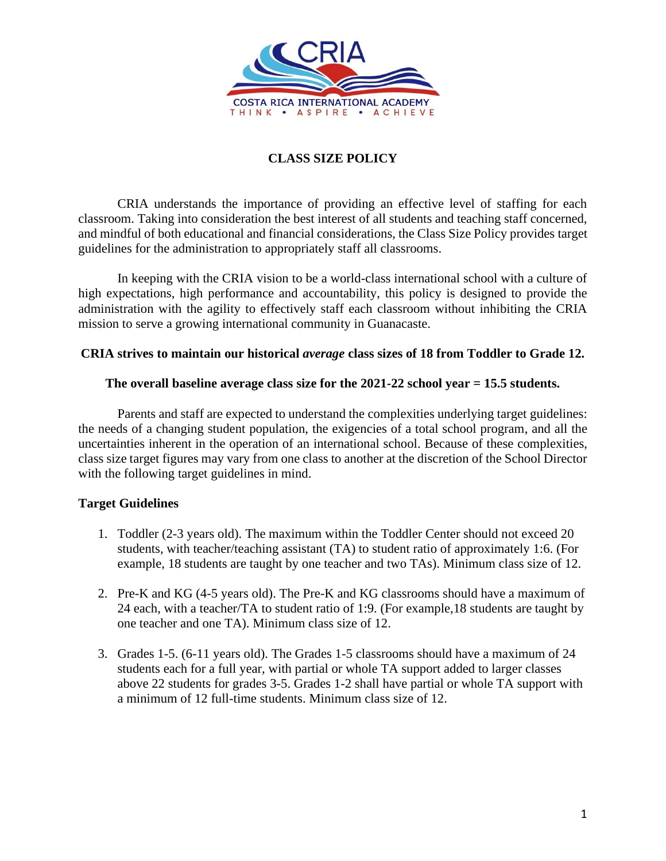

## **CLASS SIZE POLICY**

CRIA understands the importance of providing an effective level of staffing for each classroom. Taking into consideration the best interest of all students and teaching staff concerned, and mindful of both educational and financial considerations, the Class Size Policy provides target guidelines for the administration to appropriately staff all classrooms.

In keeping with the CRIA vision to be a world-class international school with a culture of high expectations, high performance and accountability, this policy is designed to provide the administration with the agility to effectively staff each classroom without inhibiting the CRIA mission to serve a growing international community in Guanacaste.

## **CRIA strives to maintain our historical** *average* **class sizes of 18 from Toddler to Grade 12.**

## **The overall baseline average class size for the 2021-22 school year = 15.5 students.**

Parents and staff are expected to understand the complexities underlying target guidelines: the needs of a changing student population, the exigencies of a total school program, and all the uncertainties inherent in the operation of an international school. Because of these complexities, class size target figures may vary from one class to another at the discretion of the School Director with the following target guidelines in mind.

## **Target Guidelines**

- 1. Toddler (2-3 years old). The maximum within the Toddler Center should not exceed 20 students, with teacher/teaching assistant (TA) to student ratio of approximately 1:6. (For example, 18 students are taught by one teacher and two TAs). Minimum class size of 12.
- 2. Pre-K and KG (4-5 years old). The Pre-K and KG classrooms should have a maximum of 24 each, with a teacher/TA to student ratio of 1:9. (For example,18 students are taught by one teacher and one TA). Minimum class size of 12.
- 3. Grades 1-5. (6-11 years old). The Grades 1-5 classrooms should have a maximum of 24 students each for a full year, with partial or whole TA support added to larger classes above 22 students for grades 3-5. Grades 1-2 shall have partial or whole TA support with a minimum of 12 full-time students. Minimum class size of 12.